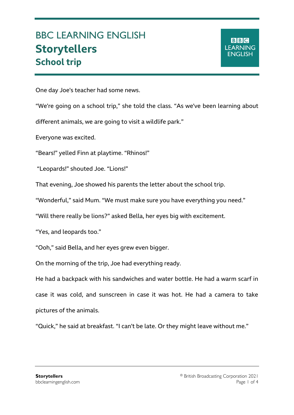## BBC LEARNING ENGLISH **Storytellers School trip**

One day Joe's teacher had some news.

"We're going on a school trip," she told the class. "As we've been learning about

different animals, we are going to visit a wildlife park."

Everyone was excited.

Ξ

"Bears!" yelled Finn at playtime. "Rhinos!"

"Leopards!" shouted Joe. "Lions!"

That evening, Joe showed his parents the letter about the school trip.

"Wonderful," said Mum. "We must make sure you have everything you need."

"Will there really be lions?" asked Bella, her eyes big with excitement.

"Yes, and leopards too."

"Ooh," said Bella, and her eyes grew even bigger.

On the morning of the trip, Joe had everything ready.

He had a backpack with his sandwiches and water bottle. He had a warm scarf in case it was cold, and sunscreen in case it was hot. He had a camera to take pictures of the animals.

"Quick," he said at breakfast. "I can't be late. Or they might leave without me."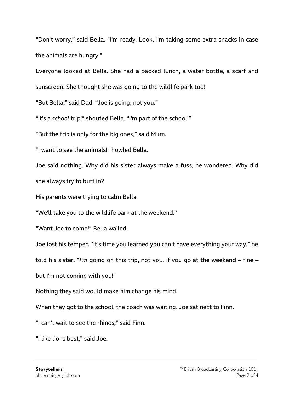"Don't worry," said Bella. "I'm ready. Look, I'm taking some extra snacks in case the animals are hungry."

Everyone looked at Bella. She had a packed lunch, a water bottle, a scarf and

sunscreen. She thought she was going to the wildlife park too!

"But Bella," said Dad, "Joe is going, not you."

"It's a *school* trip!" shouted Bella. "I'm part of the school!"

"But the trip is only for the big ones," said Mum.

"I want to see the animals!" howled Bella.

Joe said nothing. Why did his sister always make a fuss, he wondered. Why did she always try to butt in?

His parents were trying to calm Bella.

"We'll take you to the wildlife park at the weekend."

"Want Joe to come!" Bella wailed.

Joe lost his temper. "It's time you learned you can't have everything your way," he

told his sister. "*I'm* going on this trip, not you. If you go at the weekend – fine –

but I'm not coming with you!"

Nothing they said would make him change his mind.

When they got to the school, the coach was waiting. Joe sat next to Finn.

"I can't wait to see the rhinos," said Finn.

"I like lions best," said Joe.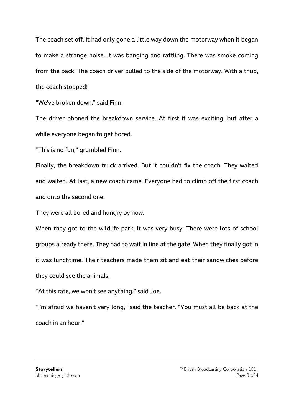The coach set off. It had only gone a little way down the motorway when it began to make a strange noise. It was banging and rattling. There was smoke coming from the back. The coach driver pulled to the side of the motorway. With a thud, the coach stopped!

"We've broken down," said Finn.

The driver phoned the breakdown service. At first it was exciting, but after a while everyone began to get bored.

"This is no fun," grumbled Finn.

Finally, the breakdown truck arrived. But it couldn't fix the coach. They waited and waited. At last, a new coach came. Everyone had to climb off the first coach and onto the second one.

They were all bored and hungry by now.

When they got to the wildlife park, it was very busy. There were lots of school groups already there. They had to wait in line at the gate. When they finally got in, it was lunchtime. Their teachers made them sit and eat their sandwiches before they could see the animals.

"At this rate, we won't see anything," said Joe.

"I'm afraid we haven't very long," said the teacher. "You must all be back at the coach in an hour."